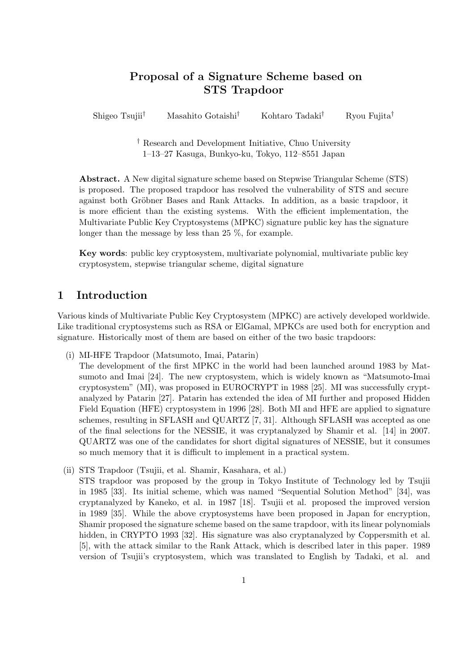# **Proposal of a Signature Scheme based on STS Trapdoor**

Shigeo Tsujii*†* Masahito Gotaishi*†* Kohtaro Tadaki*†* Ryou Fujita*†*

*†* Research and Development Initiative, Chuo University 1–13–27 Kasuga, Bunkyo-ku, Tokyo, 112–8551 Japan

**Abstract.** A New digital signature scheme based on Stepwise Triangular Scheme (STS) is proposed. The proposed trapdoor has resolved the vulnerability of STS and secure against both Gröbner Bases and Rank Attacks. In addition, as a basic trapdoor, it is more efficient than the existing systems. With the efficient implementation, the Multivariate Public Key Cryptosystems (MPKC) signature public key has the signature longer than the message by less than 25 %, for example.

**Key words**: public key cryptosystem, multivariate polynomial, multivariate public key cryptosystem, stepwise triangular scheme, digital signature

# **1 Introduction**

Various kinds of Multivariate Public Key Cryptosystem (MPKC) are actively developed worldwide. Like traditional cryptosystems such as RSA or ElGamal, MPKCs are used both for encryption and signature. Historically most of them are based on either of the two basic trapdoors:

(i) MI-HFE Trapdoor (Matsumoto, Imai, Patarin)

The development of the first MPKC in the world had been launched around 1983 by Matsumoto and Imai [24]. The new cryptosystem, which is widely known as "Matsumoto-Imai cryptosystem" (MI), was proposed in EUROCRYPT in 1988 [25]. MI was successfully cryptanalyzed by Patarin [27]. Patarin has extended the idea of MI further and proposed Hidden Field Equation (HFE) cryptosystem in 1996 [28]. Both MI and HFE are applied to signature schemes, resulting in SFLASH and QUARTZ [7, 31]. Although SFLASH was accepted as one of the final selections for the NESSIE, it was cryptanalyzed by Shamir et al. [14] in 2007. QUARTZ was one of the candidates for short digital signatures of NESSIE, but it consumes so much memory that it is difficult to implement in a practical system.

(ii) STS Trapdoor (Tsujii, et al. Shamir, Kasahara, et al.) STS trapdoor was proposed by the group in Tokyo Institute of Technology led by Tsujii in 1985 [33]. Its initial scheme, which was named "Sequential Solution Method" [34], was cryptanalyzed by Kaneko, et al. in 1987 [18]. Tsujii et al. proposed the improved version in 1989 [35]. While the above cryptosystems have been proposed in Japan for encryption, Shamir proposed the signature scheme based on the same trapdoor, with its linear polynomials hidden, in CRYPTO 1993 [32]. His signature was also cryptanalyzed by Coppersmith et al. [5], with the attack similar to the Rank Attack, which is described later in this paper. 1989 version of Tsujii's cryptosystem, which was translated to English by Tadaki, et al. and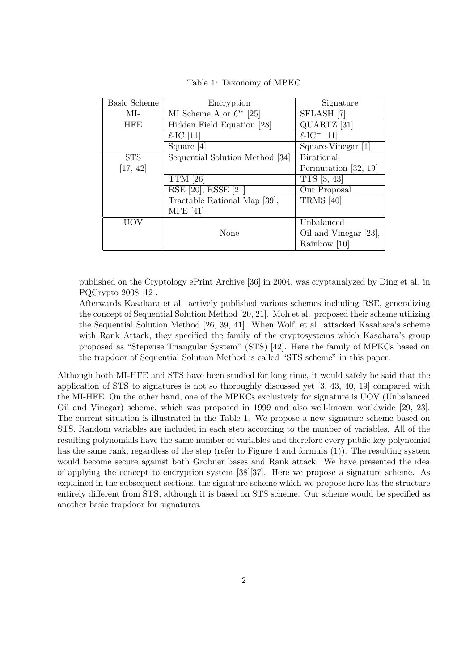| <b>Basic Scheme</b> | Encryption                      | Signature                              |
|---------------------|---------------------------------|----------------------------------------|
| MI-                 | MI Scheme A or $C^*$ [25]       | SFLASH <sup>[7]</sup>                  |
| <b>HFE</b>          | Hidden Field Equation [28]      | QUARTZ <sup>[31]</sup>                 |
|                     | $\ell$ -IC [11]                 | $\overline{\ell\text{-IC}^-}$ [11]     |
|                     | Square $[4]$                    | $\overline{\text{Square-Vinegar}}$ [1] |
| <b>STS</b>          | Sequential Solution Method [34] | <b>Birational</b>                      |
| [17, 42]            |                                 | Permutation [32, 19]                   |
|                     | <b>TTM</b> [26]                 | TTS [3, 43]                            |
|                     | $RSE$ [20], RSSE [21]           | Our Proposal                           |
|                     | Tractable Rational Map [39],    | <b>TRMS</b> [40]                       |
|                     | <b>MFE</b> [41]                 |                                        |
| <b>UOV</b>          |                                 | Unbalanced                             |
|                     | None                            | Oil and Vinegar [23],                  |
|                     |                                 | Rainbow [10]                           |

Table 1: Taxonomy of MPKC

published on the Cryptology ePrint Archive [36] in 2004, was cryptanalyzed by Ding et al. in PQCrypto 2008 [12].

Afterwards Kasahara et al. actively published various schemes including RSE, generalizing the concept of Sequential Solution Method [20, 21]. Moh et al. proposed their scheme utilizing the Sequential Solution Method [26, 39, 41]. When Wolf, et al. attacked Kasahara's scheme with Rank Attack, they specified the family of the cryptosystems which Kasahara's group proposed as "Stepwise Triangular System" (STS) [42]. Here the family of MPKCs based on the trapdoor of Sequential Solution Method is called "STS scheme" in this paper.

Although both MI-HFE and STS have been studied for long time, it would safely be said that the application of STS to signatures is not so thoroughly discussed yet [3, 43, 40, 19] compared with the MI-HFE. On the other hand, one of the MPKCs exclusively for signature is UOV (Unbalanced Oil and Vinegar) scheme, which was proposed in 1999 and also well-known worldwide [29, 23]. The current situation is illustrated in the Table 1. We propose a new signature scheme based on STS. Random variables are included in each step according to the number of variables. All of the resulting polynomials have the same number of variables and therefore every public key polynomial has the same rank, regardless of the step (refer to Figure 4 and formula (1)). The resulting system would become secure against both Gröbner bases and Rank attack. We have presented the idea of applying the concept to encryption system [38][37]. Here we propose a signature scheme. As explained in the subsequent sections, the signature scheme which we propose here has the structure entirely different from STS, although it is based on STS scheme. Our scheme would be specified as another basic trapdoor for signatures.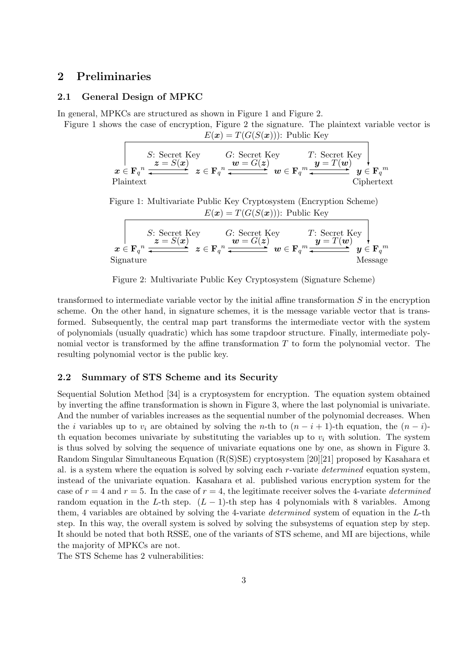## **2 Preliminaries**

#### **2.1 General Design of MPKC**

In general, MPKCs are structured as shown in Figure 1 and Figure 2.

Figure 1 shows the case of encryption, Figure 2 the signature. The plaintext variable vector is  $E(\mathbf{x}) = T(G(S(\mathbf{x})))$ : Public Key

S: Secret Key  
\n
$$
x \in \mathbf{F}_q^n
$$
  $\xrightarrow{z = S(x)}$   $G: \text{Secret Key}$   $T: \text{Secret Key}$   
\n $x \in \mathbf{F}_q^n$   $\xrightarrow{z = S(x)}$   $z \in \mathbf{F}_q^n$   $\xrightarrow{w = G(z)}$   $w \in \mathbf{F}_q^m$   $\xrightarrow{y = T(w)}$   $y \in \mathbf{F}_q^m$   
\nPlaintext  
\nCiphertext

Figure 1: Multivariate Public Key Cryptosystem (Encryption Scheme)  $E(\mathbf{x}) = T(G(S(\mathbf{x})))$ : Public Key

S: Secret Key  
\n
$$
x \in \mathbf{F}_q^n
$$
  $\xrightarrow{z = S(x)}$   $G: \text{Secret Key}$   $T: \text{Secret Key}$   
\n $x \in \mathbf{F}_q^n$   $\xrightarrow{z = S(x)}$   $z \in \mathbf{F}_q^n$   $\xrightarrow{w = G(z)}$   $w \in \mathbf{F}_q^m$   $\xrightarrow{y = T(w)}$   $y \in \mathbf{F}_q^m$   
\nSignature  
\nMessage

Figure 2: Multivariate Public Key Cryptosystem (Signature Scheme)

transformed to intermediate variable vector by the initial affine transformation *S* in the encryption scheme. On the other hand, in signature schemes, it is the message variable vector that is transformed. Subsequently, the central map part transforms the intermediate vector with the system of polynomials (usually quadratic) which has some trapdoor structure. Finally, intermediate polynomial vector is transformed by the affine transformation *T* to form the polynomial vector. The resulting polynomial vector is the public key.

#### **2.2 Summary of STS Scheme and its Security**

Sequential Solution Method [34] is a cryptosystem for encryption. The equation system obtained by inverting the affine transformation is shown in Figure 3, where the last polynomial is univariate. And the number of variables increases as the sequential number of the polynomial decreases. When the *i* variables up to  $v_i$  are obtained by solving the *n*-th to  $(n-i+1)$ -th equation, the  $(n-i)$ th equation becomes univariate by substituting the variables up to  $v_i$  with solution. The system is thus solved by solving the sequence of univariate equations one by one, as shown in Figure 3. Random Singular Simultaneous Equation (R(S)SE) cryptosystem [20][21] proposed by Kasahara et al. is a system where the equation is solved by solving each *r*-variate *determined* equation system, instead of the univariate equation. Kasahara et al. published various encryption system for the case of  $r = 4$  and  $r = 5$ . In the case of  $r = 4$ , the legitimate receiver solves the 4-variate *determined* random equation in the *L*-th step.  $(L-1)$ -th step has 4 polynomials with 8 variables. Among them, 4 variables are obtained by solving the 4-variate *determined* system of equation in the *L*-th step. In this way, the overall system is solved by solving the subsystems of equation step by step. It should be noted that both RSSE, one of the variants of STS scheme, and MI are bijections, while the majority of MPKCs are not.

The STS Scheme has 2 vulnerabilities: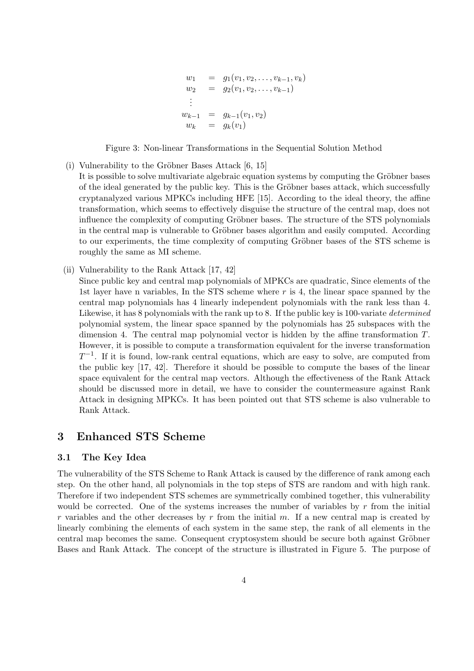$$
w_1 = g_1(v_1, v_2, \dots, v_{k-1}, v_k)
$$
  
\n
$$
w_2 = g_2(v_1, v_2, \dots, v_{k-1})
$$
  
\n
$$
\vdots
$$
  
\n
$$
w_{k-1} = g_{k-1}(v_1, v_2)
$$
  
\n
$$
w_k = g_k(v_1)
$$

Figure 3: Non-linear Transformations in the Sequential Solution Method

- (i) Vulnerability to the Gröbner Bases Attack  $[6, 15]$ It is possible to solve multivariate algebraic equation systems by computing the Gröbner bases of the ideal generated by the public key. This is the Gröbner bases attack, which successfully cryptanalyzed various MPKCs including HFE [15]. According to the ideal theory, the affine transformation, which seems to effectively disguise the structure of the central map, does not influence the complexity of computing Gröbner bases. The structure of the STS polynomials in the central map is vulnerable to Gröbner bases algorithm and easily computed. According to our experiments, the time complexity of computing Gröbner bases of the STS scheme is roughly the same as MI scheme.
- (ii) Vulnerability to the Rank Attack [17, 42]

Since public key and central map polynomials of MPKCs are quadratic, Since elements of the 1st layer have n variables, In the STS scheme where *r* is 4, the linear space spanned by the central map polynomials has 4 linearly independent polynomials with the rank less than 4. Likewise, it has 8 polynomials with the rank up to 8. If the public key is 100-variate *determined* polynomial system, the linear space spanned by the polynomials has 25 subspaces with the dimension 4. The central map polynomial vector is hidden by the affine transformation *T*. However, it is possible to compute a transformation equivalent for the inverse transformation *T*<sup>-1</sup>. If it is found, low-rank central equations, which are easy to solve, are computed from the public key [17, 42]. Therefore it should be possible to compute the bases of the linear space equivalent for the central map vectors. Although the effectiveness of the Rank Attack should be discussed more in detail, we have to consider the countermeasure against Rank Attack in designing MPKCs. It has been pointed out that STS scheme is also vulnerable to Rank Attack.

## **3 Enhanced STS Scheme**

#### **3.1 The Key Idea**

The vulnerability of the STS Scheme to Rank Attack is caused by the difference of rank among each step. On the other hand, all polynomials in the top steps of STS are random and with high rank. Therefore if two independent STS schemes are symmetrically combined together, this vulnerability would be corrected. One of the systems increases the number of variables by *r* from the initial *r* variables and the other decreases by *r* from the initial *m*. If a new central map is created by linearly combining the elements of each system in the same step, the rank of all elements in the central map becomes the same. Consequent cryptosystem should be secure both against Gröbner Bases and Rank Attack. The concept of the structure is illustrated in Figure 5. The purpose of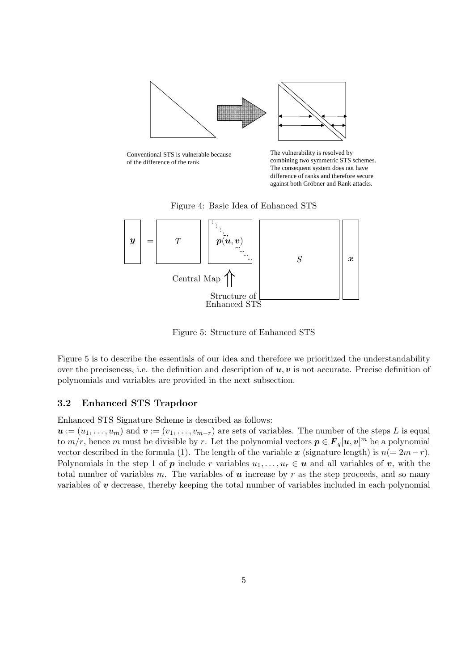

Conventional STS is vulnerable because of the difference of the rank

The vulnerability is resolved by combining two symmetric STS schemes. The consequent system does not have difference of ranks and therefore secure against both Gröbner and Rank attacks.

Figure 4: Basic Idea of Enhanced STS



Figure 5: Structure of Enhanced STS

Figure 5 is to describe the essentials of our idea and therefore we prioritized the understandability over the preciseness, i.e. the definition and description of  $u, v$  is not accurate. Precise definition of polynomials and variables are provided in the next subsection.

### **3.2 Enhanced STS Trapdoor**

Enhanced STS Signature Scheme is described as follows:

 $u := (u_1, \ldots, u_m)$  and  $v := (v_1, \ldots, v_{m-r})$  are sets of variables. The number of the steps *L* is equal to  $m/r$ , hence *m* must be divisible by *r*. Let the polynomial vectors  $p \in F_q[u, v]^m$  be a polynomial vector described in the formula (1). The length of the variable  $x$  (signature length) is  $n(=2m-r)$ . Polynomials in the step 1 of *p* include *r* variables  $u_1, \ldots, u_r \in \mathbf{u}$  and all variables of *v*, with the total number of variables  $m$ . The variables of  $u$  increase by  $r$  as the step proceeds, and so many variables of *v* decrease, thereby keeping the total number of variables included in each polynomial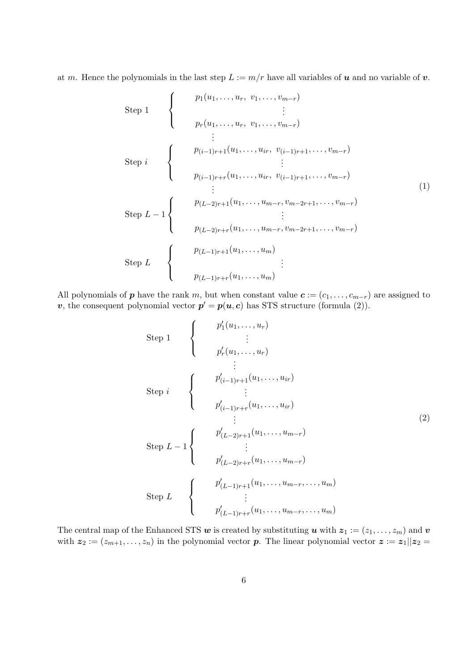at *m*. Hence the polynomials in the last step  $L := m/r$  have all variables of *u* and no variable of *v*.

Step 1  
\nStep 1  
\n
$$
\left\{\n\begin{array}{c}\n p_1(u_1, \ldots, u_r, v_1, \ldots, v_{m-r}) \\
\vdots \\
p_r(u_1, \ldots, u_r, v_1, \ldots, v_{m-r})\n\end{array}\n\right\}
$$
\nStep i  
\nStep i\n
$$
\left\{\n\begin{array}{c}\n p_{(i-1)r+1}(u_1, \ldots, u_{ir}, v_{(i-1)r+1}, \ldots, v_{m-r}) \\
\vdots \\
p_{(i-1)r+r}(u_1, \ldots, u_{ir}, v_{(i-1)r+1}, \ldots, v_{m-r})\n\end{array}\n\right\}
$$
\nStep L - 1  
\nStep L - 1  
\n
$$
\left\{\n\begin{array}{c}\n p_{(L-2)r+1}(u_1, \ldots, u_{m-r}, v_{m-2r+1}, \ldots, v_{m-r}) \\
\vdots \\
p_{(L-1)r+1}(u_1, \ldots, u_m)\n\end{array}\n\right\}
$$
\nStep L  
\nStep L\n
$$
\left\{\n\begin{array}{c}\n p_{(L-1)r+1}(u_1, \ldots, u_m) \\
p_{(L-1)r+r}(u_1, \ldots, u_m)\n\end{array}\n\right\}
$$

All polynomials of *p* have the rank *m*, but when constant value  $c := (c_1, \ldots, c_{m-r})$  are assigned to *v*, the consequent polynomial vector  $p' = p(u, c)$  has STS structure (formula (2)).

Step 1  
\nStep 1  
\n
$$
\begin{cases}\n p'_{1}(u_{1},...,u_{r}) \\
\vdots \\
p'_{r}(u_{1},...,u_{r}) \\
\vdots \\
p'_{(i-1)r+1}(u_{1},...,u_{ir}) \\
\vdots \\
p'_{(i-1)r+r}(u_{1},...,u_{ir})\n \end{cases}
$$
\nStep  $L - 1$   
\nStep  $L - 1$   
\n
$$
\begin{cases}\n p'_{(L-2)r+1}(u_{1},...,u_{m-r}) \\
\vdots \\
p'_{(L-2)r+r}(u_{1},...,u_{m-r}) \\
\vdots \\
p'_{(L-1)r+1}(u_{1},...,u_{m-r},...,u_{m})\n \end{cases}
$$
\nStep  $L$   
\n
$$
\begin{cases}\n p'_{(L-1)r+1}(u_{1},...,u_{m-r},...,u_{m}) \\
\vdots \\
p'_{(L-1)r+r}(u_{1},...,u_{m-r},...,u_{m})\n \end{cases}
$$

The central map of the Enhanced STS  $w$  is created by substituting  $u$  with  $z_1 := (z_1, \ldots, z_m)$  and  $v$ with  $z_2 := (z_{m+1}, \ldots, z_n)$  in the polynomial vector *p*. The linear polynomial vector  $z := z_1 || z_2 =$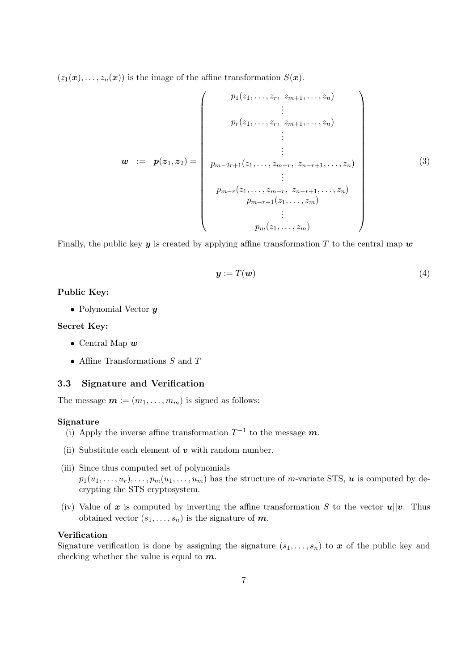$(z_1(\boldsymbol{x}), \ldots, z_n(\boldsymbol{x}))$  is the image of the affine transformation  $S(\boldsymbol{x})$ .

$$
w := p(z_1, z_2) = \begin{pmatrix} p_1(z_1, \ldots, z_r, z_{m+1}, \ldots, z_n) \\ \vdots \\ p_r(z_1, \ldots, z_r, z_{m+1}, \ldots, z_n) \\ \vdots \\ \vdots \\ p_{m-2r+1}(z_1, \ldots, z_{m-r}, z_{n-r+1}, \ldots, z_n) \\ \vdots \\ p_{m-r+1}(z_1, \ldots, z_m) \\ \vdots \\ p_m(z_1, \ldots, z_m) \end{pmatrix}
$$
(3)

Finally, the public key  $y$  is created by applying affine transformation  $T$  to the central map  $w$ 

$$
\mathbf{y} := T(\mathbf{w}) \tag{4}
$$

### **Public Key:**

*•* Polynomial Vector *y*

#### **Secret Key:**

- *•* Central Map *w*
- *•* Affine Transformations *S* and *T*

#### **3.3 Signature and Verification**

The message  $\mathbf{m} := (m_1, \ldots, m_m)$  is signed as follows:

#### **Signature**

- (i) Apply the inverse affine transformation  $T^{-1}$  to the message  $m$ .
- (ii) Substitute each element of *v* with random number.
- (iii) Since thus computed set of polynomials  $p_1(u_1, \ldots, u_r), \ldots, p_m(u_1, \ldots, u_m)$  has the structure of *m*-variate STS, *u* is computed by decrypting the STS cryptosystem.
- (iv) Value of x is computed by inverting the affine transformation *S* to the vector  $u||v$ . Thus obtained vector  $(s_1, \ldots, s_n)$  is the signature of  $m$ .

#### **Verification**

Signature verification is done by assigning the signature  $(s_1, \ldots, s_n)$  to x of the public key and checking whether the value is equal to *m*.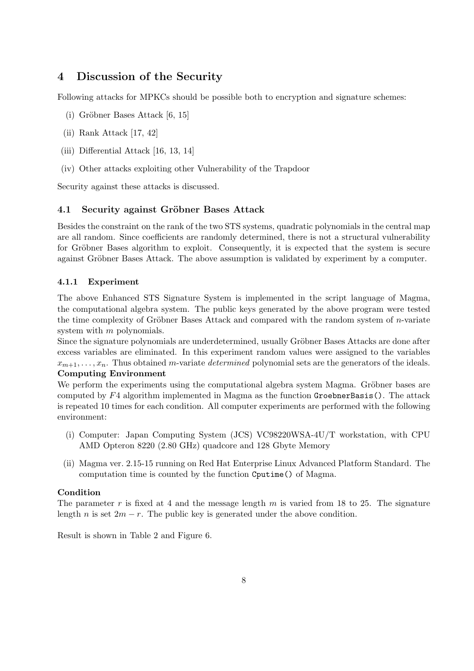# **4 Discussion of the Security**

Following attacks for MPKCs should be possible both to encryption and signature schemes:

- (i) Gröbner Bases Attack  $[6, 15]$
- (ii) Rank Attack [17, 42]
- (iii) Differential Attack [16, 13, 14]
- (iv) Other attacks exploiting other Vulnerability of the Trapdoor

Security against these attacks is discussed.

## **4.1 Security against Gröbner Bases Attack**

Besides the constraint on the rank of the two STS systems, quadratic polynomials in the central map are all random. Since coefficients are randomly determined, there is not a structural vulnerability for Gröbner Bases algorithm to exploit. Consequently, it is expected that the system is secure against Gröbner Bases Attack. The above assumption is validated by experiment by a computer.

## **4.1.1 Experiment**

The above Enhanced STS Signature System is implemented in the script language of Magma, the computational algebra system. The public keys generated by the above program were tested the time complexity of Gröbner Bases Attack and compared with the random system of *n*-variate system with *m* polynomials.

Since the signature polynomials are underdetermined, usually Gröbner Bases Attacks are done after excess variables are eliminated. In this experiment random values were assigned to the variables  $x_{m+1}, \ldots, x_n$ . Thus obtained *m*-variate *determined* polynomial sets are the generators of the ideals.

## **Computing Environment**

We perform the experiments using the computational algebra system Magma. Gröbner bases are computed by *F*4 algorithm implemented in Magma as the function GroebnerBasis(). The attack is repeated 10 times for each condition. All computer experiments are performed with the following environment:

- (i) Computer: Japan Computing System (JCS) VC98220WSA-4U/T workstation, with CPU AMD Opteron 8220 (2*.*80 GHz) quadcore and 128 Gbyte Memory
- (ii) Magma ver. 2.15-15 running on Red Hat Enterprise Linux Advanced Platform Standard. The computation time is counted by the function Cputime() of Magma.

## **Condition**

The parameter *r* is fixed at 4 and the message length *m* is varied from 18 to 25. The signature length *n* is set  $2m - r$ . The public key is generated under the above condition.

Result is shown in Table 2 and Figure 6.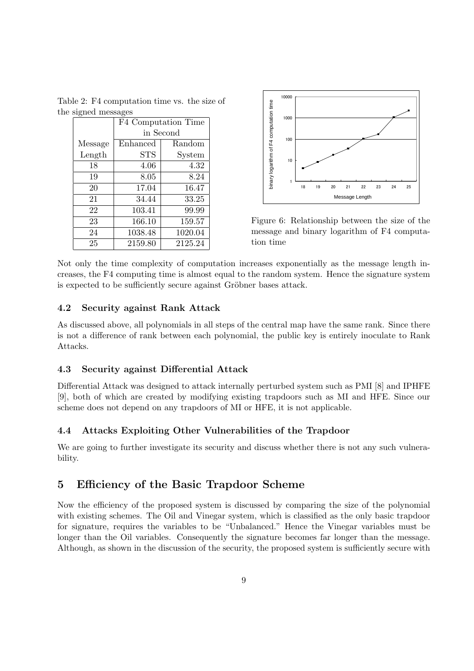Table 2: F4 computation time vs. the size of the signed messages

|         | F4 Computation Time |         |
|---------|---------------------|---------|
|         | in Second           |         |
| Message | Enhanced            | Random  |
| Length  | <b>STS</b>          | System  |
| 18      | 4.06                | 4.32    |
| 19      | 8.05                | 8.24    |
| 20      | 17.04               | 16.47   |
| 21      | 34.44               | 33.25   |
| 22      | 103.41              | 99.99   |
| 23      | 166.10              | 159.57  |
| 24      | 1038.48             | 1020.04 |
| 25      | 2159.80             | 2125.24 |



Figure 6: Relationship between the size of the message and binary logarithm of F4 computation time

Not only the time complexity of computation increases exponentially as the message length increases, the F4 computing time is almost equal to the random system. Hence the signature system is expected to be sufficiently secure against Gröbner bases attack.

## **4.2 Security against Rank Attack**

As discussed above, all polynomials in all steps of the central map have the same rank. Since there is not a difference of rank between each polynomial, the public key is entirely inoculate to Rank Attacks.

#### **4.3 Security against Differential Attack**

Differential Attack was designed to attack internally perturbed system such as PMI [8] and IPHFE [9], both of which are created by modifying existing trapdoors such as MI and HFE. Since our scheme does not depend on any trapdoors of MI or HFE, it is not applicable.

## **4.4 Attacks Exploiting Other Vulnerabilities of the Trapdoor**

We are going to further investigate its security and discuss whether there is not any such vulnerability.

## **5 Efficiency of the Basic Trapdoor Scheme**

Now the efficiency of the proposed system is discussed by comparing the size of the polynomial with existing schemes. The Oil and Vinegar system, which is classified as the only basic trapdoor for signature, requires the variables to be "Unbalanced." Hence the Vinegar variables must be longer than the Oil variables. Consequently the signature becomes far longer than the message. Although, as shown in the discussion of the security, the proposed system is sufficiently secure with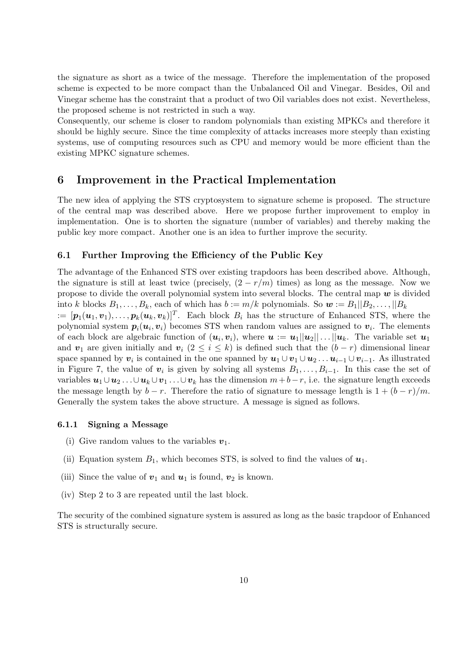the signature as short as a twice of the message. Therefore the implementation of the proposed scheme is expected to be more compact than the Unbalanced Oil and Vinegar. Besides, Oil and Vinegar scheme has the constraint that a product of two Oil variables does not exist. Nevertheless, the proposed scheme is not restricted in such a way.

Consequently, our scheme is closer to random polynomials than existing MPKCs and therefore it should be highly secure. Since the time complexity of attacks increases more steeply than existing systems, use of computing resources such as CPU and memory would be more efficient than the existing MPKC signature schemes.

## **6 Improvement in the Practical Implementation**

The new idea of applying the STS cryptosystem to signature scheme is proposed. The structure of the central map was described above. Here we propose further improvement to employ in implementation. One is to shorten the signature (number of variables) and thereby making the public key more compact. Another one is an idea to further improve the security.

#### **6.1 Further Improving the Efficiency of the Public Key**

The advantage of the Enhanced STS over existing trapdoors has been described above. Although, the signature is still at least twice (precisely,  $(2 - r/m)$  times) as long as the message. Now we propose to divide the overall polynomial system into several blocks. The central map *w* is divided into *k* blocks  $B_1, \ldots, B_k$ , each of which has  $b := m/k$  polynomials. So  $w := B_1||B_2, \ldots, ||B_k||$  $\mathbf{p} = [\mathbf{p}_1(\mathbf{u}_1, \mathbf{v}_1), \dots, \mathbf{p}_k(\mathbf{u}_k, \mathbf{v}_k)]^T$ . Each block  $B_i$  has the structure of Enhanced STS, where the polynomial system  $p_i(u_i, v_i)$  becomes STS when random values are assigned to  $v_i$ . The elements of each block are algebraic function of  $(u_i, v_i)$ , where  $u := u_1||u_2|| \dots ||u_k$ . The variable set  $u_1$ and  $v_1$  are given initially and  $v_i$  ( $2 \leq i \leq k$ ) is defined such that the  $(b - r)$  dimensional linear space spanned by  $v_i$  is contained in the one spanned by  $u_1 \cup v_1 \cup u_2 \ldots u_{i-1} \cup v_{i-1}$ . As illustrated in Figure 7, the value of  $v_i$  is given by solving all systems  $B_1, \ldots, B_{i-1}$ . In this case the set of variables  $u_1 \cup u_2 \ldots \cup u_k \cup v_1 \ldots \cup v_k$  has the dimension  $m + b - r$ , i.e. the signature length exceeds the message length by  $b - r$ . Therefore the ratio of signature to message length is  $1 + (b - r)/m$ .

### Generally the system takes the above structure. A message is signed as follows.

#### **6.1.1 Signing a Message**

- (i) Give random values to the variables  $v_1$ .
- (ii) Equation system  $B_1$ , which becomes STS, is solved to find the values of  $u_1$ .
- (iii) Since the value of  $v_1$  and  $u_1$  is found,  $v_2$  is known.
- (iv) Step 2 to 3 are repeated until the last block.

The security of the combined signature system is assured as long as the basic trapdoor of Enhanced STS is structurally secure.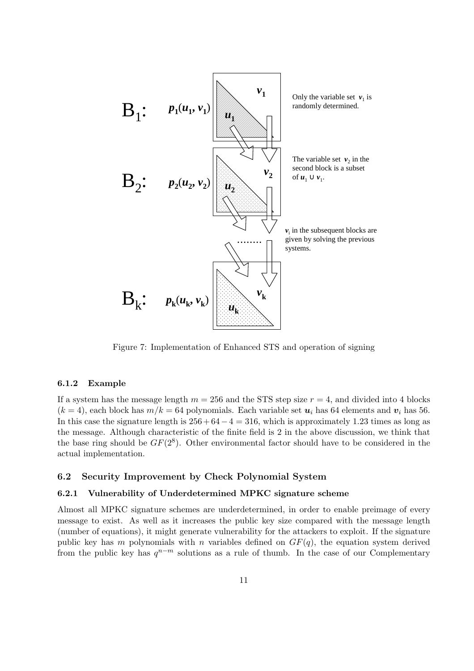

Figure 7: Implementation of Enhanced STS and operation of signing

#### **6.1.2 Example**

If a system has the message length  $m = 256$  and the STS step size  $r = 4$ , and divided into 4 blocks  $(k = 4)$ , each block has  $m/k = 64$  polynomials. Each variable set  $u_i$  has 64 elements and  $v_i$  has 56. In this case the signature length is 256 + 64*−*4 = 316, which is approximately 1.23 times as long as the message. Although characteristic of the finite field is 2 in the above discussion, we think that the base ring should be  $GF(2^8)$ . Other environmental factor should have to be considered in the actual implementation.

#### **6.2 Security Improvement by Check Polynomial System**

#### **6.2.1 Vulnerability of Underdetermined MPKC signature scheme**

Almost all MPKC signature schemes are underdetermined, in order to enable preimage of every message to exist. As well as it increases the public key size compared with the message length (number of equations), it might generate vulnerability for the attackers to exploit. If the signature public key has *m* polynomials with *n* variables defined on  $GF(q)$ , the equation system derived from the public key has *q <sup>n</sup>−<sup>m</sup>* solutions as a rule of thumb. In the case of our Complementary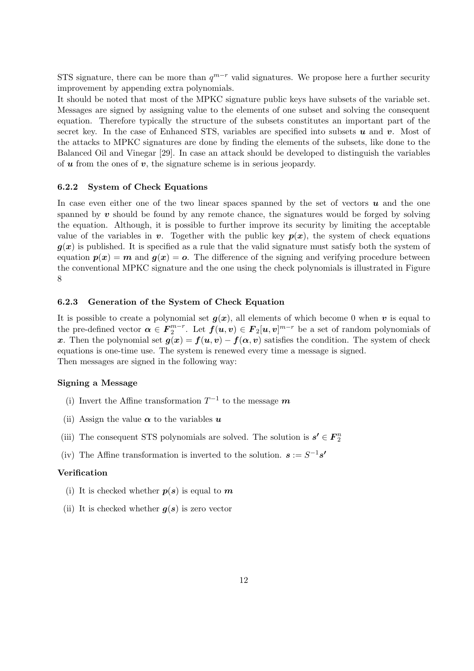STS signature, there can be more than  $q^{m-r}$  valid signatures. We propose here a further security improvement by appending extra polynomials.

It should be noted that most of the MPKC signature public keys have subsets of the variable set. Messages are signed by assigning value to the elements of one subset and solving the consequent equation. Therefore typically the structure of the subsets constitutes an important part of the secret key. In the case of Enhanced STS, variables are specified into subsets *u* and *v*. Most of the attacks to MPKC signatures are done by finding the elements of the subsets, like done to the Balanced Oil and Vinegar [29]. In case an attack should be developed to distinguish the variables of *u* from the ones of *v*, the signature scheme is in serious jeopardy.

#### **6.2.2 System of Check Equations**

In case even either one of the two linear spaces spanned by the set of vectors  $\boldsymbol{u}$  and the one spanned by  $v$  should be found by any remote chance, the signatures would be forged by solving the equation. Although, it is possible to further improve its security by limiting the acceptable value of the variables in *v*. Together with the public key  $p(x)$ , the system of check equations  $g(x)$  is published. It is specified as a rule that the valid signature must satisfy both the system of equation  $p(x) = m$  and  $q(x) = o$ . The difference of the signing and verifying procedure between the conventional MPKC signature and the one using the check polynomials is illustrated in Figure 8

#### **6.2.3 Generation of the System of Check Equation**

It is possible to create a polynomial set  $g(x)$ , all elements of which become 0 when *v* is equal to the pre-defined vector  $\alpha \in F_2^{m-r}$ . Let  $f(u, v) \in F_2[u, v]^{m-r}$  be a set of random polynomials of *x*. Then the polynomial set  $g(x) = f(u, v) - f(\alpha, v)$  satisfies the condition. The system of check equations is one-time use. The system is renewed every time a message is signed. Then messages are signed in the following way:

#### **Signing a Message**

- (i) Invert the Affine transformation  $T^{-1}$  to the message  $m$
- (ii) Assign the value  $\alpha$  to the variables  $u$
- (iii) The consequent STS polynomials are solved. The solution is  $\mathbf{s'}\in \mathbf{F}_{2}^{n}$
- (iv) The Affine transformation is inverted to the solution.  $s := S^{-1}s'$

#### **Verification**

- (i) It is checked whether  $p(s)$  is equal to  $m$
- (ii) It is checked whether  $g(s)$  is zero vector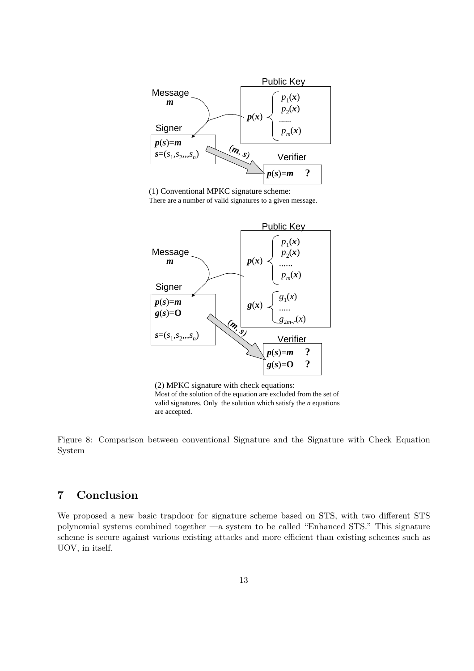

(1) Conventional MPKC signature scheme:

There are a number of valid signatures to a given message.



(2) MPKC signature with check equations: Most of the solution of the equation are excluded from the set of valid signatures. Only the solution which satisfy the *n* equations are accepted.

Figure 8: Comparison between conventional Signature and the Signature with Check Equation System

# **7 Conclusion**

We proposed a new basic trapdoor for signature scheme based on STS, with two different STS polynomial systems combined together —a system to be called "Enhanced STS." This signature scheme is secure against various existing attacks and more efficient than existing schemes such as UOV, in itself.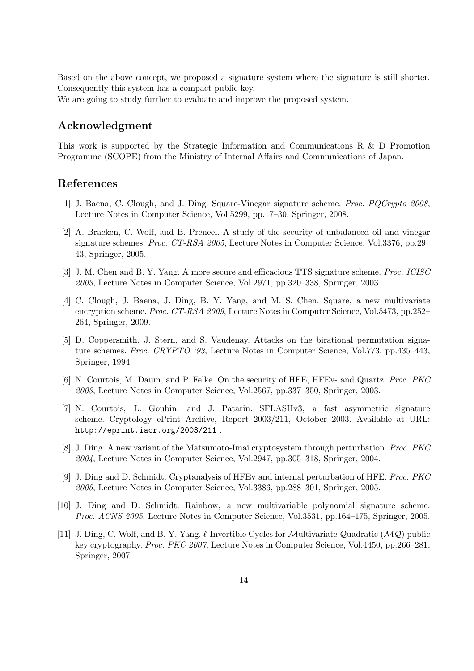Based on the above concept, we proposed a signature system where the signature is still shorter. Consequently this system has a compact public key.

We are going to study further to evaluate and improve the proposed system.

## **Acknowledgment**

This work is supported by the Strategic Information and Communications R & D Promotion Programme (SCOPE) from the Ministry of Internal Affairs and Communications of Japan.

## **References**

- [1] J. Baena, C. Clough, and J. Ding. Square-Vinegar signature scheme. *Proc. PQCrypto 2008*, Lecture Notes in Computer Science, Vol.5299, pp.17–30, Springer, 2008.
- [2] A. Braeken, C. Wolf, and B. Preneel. A study of the security of unbalanced oil and vinegar signature schemes. *Proc. CT-RSA 2005*, Lecture Notes in Computer Science, Vol.3376, pp.29– 43, Springer, 2005.
- [3] J. M. Chen and B. Y. Yang. A more secure and efficacious TTS signature scheme. *Proc. ICISC 2003*, Lecture Notes in Computer Science, Vol.2971, pp.320–338, Springer, 2003.
- [4] C. Clough, J. Baena, J. Ding, B. Y. Yang, and M. S. Chen. Square, a new multivariate encryption scheme. *Proc. CT-RSA 2009*, Lecture Notes in Computer Science, Vol.5473, pp.252– 264, Springer, 2009.
- [5] D. Coppersmith, J. Stern, and S. Vaudenay. Attacks on the birational permutation signature schemes. *Proc. CRYPTO '93*, Lecture Notes in Computer Science, Vol.773, pp.435–443, Springer, 1994.
- [6] N. Courtois, M. Daum, and P. Felke. On the security of HFE, HFEv- and Quartz. *Proc. PKC 2003*, Lecture Notes in Computer Science, Vol.2567, pp.337–350, Springer, 2003.
- [7] N. Courtois, L. Goubin, and J. Patarin. SFLASHv3, a fast asymmetric signature scheme. Cryptology ePrint Archive, Report 2003/211, October 2003. Available at URL: http://eprint.iacr.org/2003/211 .
- [8] J. Ding. A new variant of the Matsumoto-Imai cryptosystem through perturbation. *Proc. PKC 2004*, Lecture Notes in Computer Science, Vol.2947, pp.305–318, Springer, 2004.
- [9] J. Ding and D. Schmidt. Cryptanalysis of HFEv and internal perturbation of HFE. *Proc. PKC 2005*, Lecture Notes in Computer Science, Vol.3386, pp.288–301, Springer, 2005.
- [10] J. Ding and D. Schmidt. Rainbow, a new multivariable polynomial signature scheme. *Proc. ACNS 2005*, Lecture Notes in Computer Science, Vol.3531, pp.164–175, Springer, 2005.
- [11] J. Ding, C. Wolf, and B. Y. Yang. *ℓ*-Invertible Cycles for *M*ultivariate *Q*uadratic (*MQ*) public key cryptography. *Proc. PKC 2007*, Lecture Notes in Computer Science, Vol.4450, pp.266–281, Springer, 2007.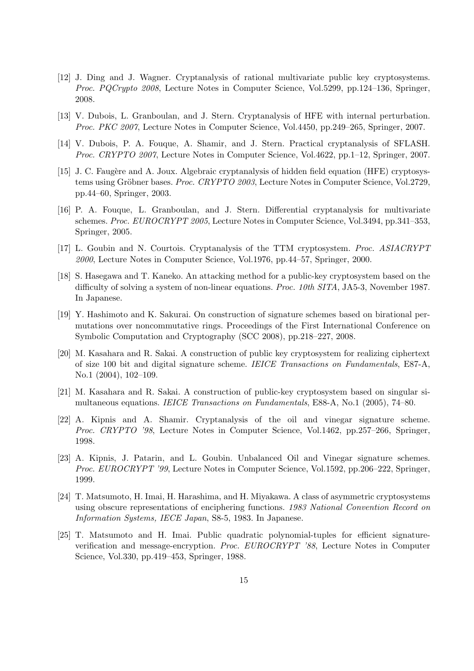- [12] J. Ding and J. Wagner. Cryptanalysis of rational multivariate public key cryptosystems. *Proc. PQCrypto 2008*, Lecture Notes in Computer Science, Vol.5299, pp.124–136, Springer, 2008.
- [13] V. Dubois, L. Granboulan, and J. Stern. Cryptanalysis of HFE with internal perturbation. *Proc. PKC 2007*, Lecture Notes in Computer Science, Vol.4450, pp.249–265, Springer, 2007.
- [14] V. Dubois, P. A. Fouque, A. Shamir, and J. Stern. Practical cryptanalysis of SFLASH. *Proc. CRYPTO 2007*, Lecture Notes in Computer Science, Vol.4622, pp.1–12, Springer, 2007.
- [15] J. C. Faugère and A. Joux. Algebraic cryptanalysis of hidden field equation (HFE) cryptosystems using Gröbner bases. *Proc. CRYPTO 2003*, Lecture Notes in Computer Science, Vol.2729, pp.44–60, Springer, 2003.
- [16] P. A. Fouque, L. Granboulan, and J. Stern. Differential cryptanalysis for multivariate schemes. *Proc. EUROCRYPT 2005*, Lecture Notes in Computer Science, Vol.3494, pp.341–353, Springer, 2005.
- [17] L. Goubin and N. Courtois. Cryptanalysis of the TTM cryptosystem. *Proc. ASIACRYPT 2000*, Lecture Notes in Computer Science, Vol.1976, pp.44–57, Springer, 2000.
- [18] S. Hasegawa and T. Kaneko. An attacking method for a public-key cryptosystem based on the difficulty of solving a system of non-linear equations. *Proc. 10th SITA*, JA5-3, November 1987. In Japanese.
- [19] Y. Hashimoto and K. Sakurai. On construction of signature schemes based on birational permutations over noncommutative rings. Proceedings of the First International Conference on Symbolic Computation and Cryptography (SCC 2008), pp.218–227, 2008.
- [20] M. Kasahara and R. Sakai. A construction of public key cryptosystem for realizing ciphertext of size 100 bit and digital signature scheme. *IEICE Transactions on Fundamentals*, E87-A, No.1 (2004), 102–109.
- [21] M. Kasahara and R. Sakai. A construction of public-key cryptosystem based on singular simultaneous equations. *IEICE Transactions on Fundamentals*, E88-A, No.1 (2005), 74–80.
- [22] A. Kipnis and A. Shamir. Cryptanalysis of the oil and vinegar signature scheme. *Proc. CRYPTO '98*, Lecture Notes in Computer Science, Vol.1462, pp.257–266, Springer, 1998.
- [23] A. Kipnis, J. Patarin, and L. Goubin. Unbalanced Oil and Vinegar signature schemes. *Proc. EUROCRYPT '99*, Lecture Notes in Computer Science, Vol.1592, pp.206–222, Springer, 1999.
- [24] T. Matsumoto, H. Imai, H. Harashima, and H. Miyakawa. A class of asymmetric cryptosystems using obscure representations of enciphering functions. *1983 National Convention Record on Information Systems, IECE Japan*, S8-5, 1983. In Japanese.
- [25] T. Matsumoto and H. Imai. Public quadratic polynomial-tuples for efficient signatureverification and message-encryption. *Proc. EUROCRYPT '88*, Lecture Notes in Computer Science, Vol.330, pp.419–453, Springer, 1988.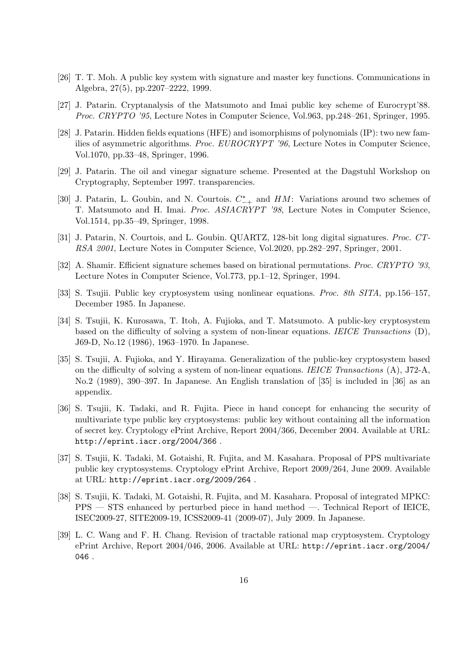- [26] T. T. Moh. A public key system with signature and master key functions. Communications in Algebra, 27(5), pp.2207–2222, 1999.
- [27] J. Patarin. Cryptanalysis of the Matsumoto and Imai public key scheme of Eurocrypt'88. *Proc. CRYPTO '95*, Lecture Notes in Computer Science, Vol.963, pp.248–261, Springer, 1995.
- [28] J. Patarin. Hidden fields equations (HFE) and isomorphisms of polynomials (IP): two new families of asymmetric algorithms. *Proc. EUROCRYPT '96*, Lecture Notes in Computer Science, Vol.1070, pp.33–48, Springer, 1996.
- [29] J. Patarin. The oil and vinegar signature scheme. Presented at the Dagstuhl Workshop on Cryptography, September 1997. transparencies.
- [30] J. Patarin, L. Goubin, and N. Courtois. *C ∗ <sup>−</sup>*<sup>+</sup> and *HM*: Variations around two schemes of T. Matsumoto and H. Imai. *Proc. ASIACRYPT '98*, Lecture Notes in Computer Science, Vol.1514, pp.35–49, Springer, 1998.
- [31] J. Patarin, N. Courtois, and L. Goubin. QUARTZ, 128-bit long digital signatures. *Proc. CT-RSA 2001*, Lecture Notes in Computer Science, Vol.2020, pp.282–297, Springer, 2001.
- [32] A. Shamir. Efficient signature schemes based on birational permutations. *Proc. CRYPTO '93*, Lecture Notes in Computer Science, Vol.773, pp.1–12, Springer, 1994.
- [33] S. Tsujii. Public key cryptosystem using nonlinear equations. *Proc. 8th SITA*, pp.156–157, December 1985. In Japanese.
- [34] S. Tsujii, K. Kurosawa, T. Itoh, A. Fujioka, and T. Matsumoto. A public-key cryptosystem based on the difficulty of solving a system of non-linear equations. *IEICE Transactions* (D), J69-D, No.12 (1986), 1963–1970. In Japanese.
- [35] S. Tsujii, A. Fujioka, and Y. Hirayama. Generalization of the public-key cryptosystem based on the difficulty of solving a system of non-linear equations. *IEICE Transactions* (A), J72-A, No.2 (1989), 390–397. In Japanese. An English translation of [35] is included in [36] as an appendix.
- [36] S. Tsujii, K. Tadaki, and R. Fujita. Piece in hand concept for enhancing the security of multivariate type public key cryptosystems: public key without containing all the information of secret key. Cryptology ePrint Archive, Report 2004/366, December 2004. Available at URL: http://eprint.iacr.org/2004/366 .
- [37] S. Tsujii, K. Tadaki, M. Gotaishi, R. Fujita, and M. Kasahara. Proposal of PPS multivariate public key cryptosystems. Cryptology ePrint Archive, Report 2009/264, June 2009. Available at URL: http://eprint.iacr.org/2009/264 .
- [38] S. Tsujii, K. Tadaki, M. Gotaishi, R. Fujita, and M. Kasahara. Proposal of integrated MPKC: PPS — STS enhanced by perturbed piece in hand method —. Technical Report of IEICE, ISEC2009-27, SITE2009-19, ICSS2009-41 (2009-07), July 2009. In Japanese.
- [39] L. C. Wang and F. H. Chang. Revision of tractable rational map cryptosystem. Cryptology ePrint Archive, Report 2004/046, 2006. Available at URL: http://eprint.iacr.org/2004/ 046 .